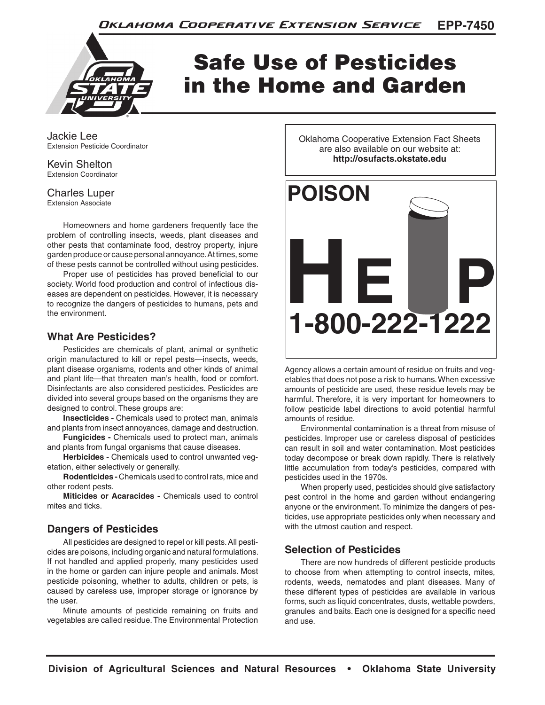

# Safe Use of Pesticides in the Home and Garden

Jackie Lee Extension Pesticide Coordinator

Kevin Shelton Extension Coordinator

Charles Luper Extension Associate

Homeowners and home gardeners frequently face the problem of controlling insects, weeds, plant diseases and other pests that contaminate food, destroy property, injure garden produce or cause personal annoyance. At times, some of these pests cannot be controlled without using pesticides.

Proper use of pesticides has proved beneficial to our society. World food production and control of infectious diseases are dependent on pesticides. However, it is necessary to recognize the dangers of pesticides to humans, pets and the environment.

# **What Are Pesticides?**

Pesticides are chemicals of plant, animal or synthetic origin manufactured to kill or repel pests—insects, weeds, plant disease organisms, rodents and other kinds of animal and plant life—that threaten man's health, food or comfort. Disinfectants are also considered pesticides. Pesticides are divided into several groups based on the organisms they are designed to control. These groups are:

**Insecticides -** Chemicals used to protect man, animals and plants from insect annoyances, damage and destruction.

**Fungicides -** Chemicals used to protect man, animals and plants from fungal organisms that cause diseases.

**Herbicides -** Chemicals used to control unwanted vegetation, either selectively or generally.

**Rodenticides -** Chemicals used to control rats, mice and other rodent pests.

**Miticides or Acaracides -** Chemicals used to control mites and ticks.

# **Dangers of Pesticides**

All pesticides are designed to repel or kill pests. All pesticides are poisons, including organic and natural formulations. If not handled and applied properly, many pesticides used in the home or garden can injure people and animals. Most pesticide poisoning, whether to adults, children or pets, is caused by careless use, improper storage or ignorance by the user.

Minute amounts of pesticide remaining on fruits and vegetables are called residue. The Environmental Protection Oklahoma Cooperative Extension Fact Sheets are also available on our website at: **http://osufacts.okstate.edu**



Agency allows a certain amount of residue on fruits and vegetables that does not pose a risk to humans. When excessive amounts of pesticide are used, these residue levels may be harmful. Therefore, it is very important for homeowners to follow pesticide label directions to avoid potential harmful amounts of residue.

Environmental contamination is a threat from misuse of pesticides. Improper use or careless disposal of pesticides can result in soil and water contamination. Most pesticides today decompose or break down rapidly. There is relatively little accumulation from today's pesticides, compared with pesticides used in the 1970s.

When properly used, pesticides should give satisfactory pest control in the home and garden without endangering anyone or the environment. To minimize the dangers of pesticides, use appropriate pesticides only when necessary and with the utmost caution and respect.

# **Selection of Pesticides**

There are now hundreds of different pesticide products to choose from when attempting to control insects, mites, rodents, weeds, nematodes and plant diseases. Many of these different types of pesticides are available in various forms, such as liquid concentrates, dusts, wettable powders, granules and baits. Each one is designed for a specific need and use.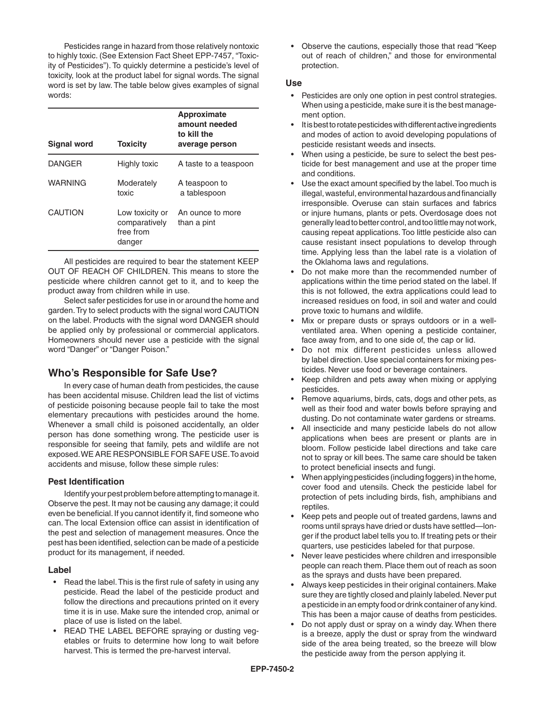Pesticides range in hazard from those relatively nontoxic to highly toxic. (See Extension Fact Sheet EPP-7457, "Toxicity of Pesticides"). To quickly determine a pesticide's level of toxicity, look at the product label for signal words. The signal word is set by law. The table below gives examples of signal words:

| Signal word    | <b>Toxicity</b>                                         | Approximate<br>amount needed<br>to kill the<br>average person |
|----------------|---------------------------------------------------------|---------------------------------------------------------------|
| <b>DANGER</b>  | Highly toxic                                            | A taste to a teaspoon                                         |
| <b>WARNING</b> | Moderately<br>toxic                                     | A teaspoon to<br>a tablespoon                                 |
| <b>CAUTION</b> | Low toxicity or<br>comparatively<br>free from<br>danger | An ounce to more<br>than a pint                               |

All pesticides are required to bear the statement KEEP OUT OF REACH OF CHILDREN. This means to store the pesticide where children cannot get to it, and to keep the product away from children while in use.

Select safer pesticides for use in or around the home and garden. Try to select products with the signal word CAUTION on the label. Products with the signal word DANGER should be applied only by professional or commercial applicators. Homeowners should never use a pesticide with the signal word "Danger" or "Danger Poison."

# **Who's Responsible for Safe Use?**

In every case of human death from pesticides, the cause has been accidental misuse. Children lead the list of victims of pesticide poisoning because people fail to take the most elementary precautions with pesticides around the home. Whenever a small child is poisoned accidentally, an older person has done something wrong. The pesticide user is responsible for seeing that family, pets and wildlife are not exposed. WE ARE RESPONSIBLE FOR SAFE USE. To avoid accidents and misuse, follow these simple rules:

#### **Pest Identification**

Identify your pest problem before attempting to manage it. Observe the pest. It may not be causing any damage; it could even be beneficial. If you cannot identify it, find someone who can. The local Extension office can assist in identification of the pest and selection of management measures. Once the pest has been identified, selection can be made of a pesticide product for its management, if needed.

#### **Label**

- Read the label. This is the first rule of safety in using any pesticide. Read the label of the pesticide product and follow the directions and precautions printed on it every time it is in use. Make sure the intended crop, animal or place of use is listed on the label.
- READ THE LABEL BEFORE spraying or dusting vegetables or fruits to determine how long to wait before harvest. This is termed the pre-harvest interval.

• Observe the cautions, especially those that read "Keep out of reach of children," and those for environmental protection.

#### **Use**

- Pesticides are only one option in pest control strategies. When using a pesticide, make sure it is the best management option.
- It is best to rotate pesticides with different active ingredients and modes of action to avoid developing populations of pesticide resistant weeds and insects.
- When using a pesticide, be sure to select the best pesticide for best management and use at the proper time and conditions.
- Use the exact amount specified by the label. Too much is illegal, wasteful, environmental hazardous and financially irresponsible. Overuse can stain surfaces and fabrics or injure humans, plants or pets. Overdosage does not generally lead to better control, and too little may not work, causing repeat applications. Too little pesticide also can cause resistant insect populations to develop through time. Applying less than the label rate is a violation of the Oklahoma laws and regulations.
- Do not make more than the recommended number of applications within the time period stated on the label. If this is not followed, the extra applications could lead to increased residues on food, in soil and water and could prove toxic to humans and wildlife.
- Mix or prepare dusts or sprays outdoors or in a wellventilated area. When opening a pesticide container, face away from, and to one side of, the cap or lid.
- Do not mix different pesticides unless allowed by label direction. Use special containers for mixing pesticides. Never use food or beverage containers.
- Keep children and pets away when mixing or applying pesticides.
- Remove aquariums, birds, cats, dogs and other pets, as well as their food and water bowls before spraying and dusting. Do not contaminate water gardens or streams.
- All insecticide and many pesticide labels do not allow applications when bees are present or plants are in bloom. Follow pesticide label directions and take care not to spray or kill bees. The same care should be taken to protect beneficial insects and fungi.
- When applying pesticides (including foggers) in the home, cover food and utensils. Check the pesticide label for protection of pets including birds, fish, amphibians and reptiles.
- Keep pets and people out of treated gardens, lawns and rooms until sprays have dried or dusts have settled—longer if the product label tells you to. If treating pets or their quarters, use pesticides labeled for that purpose.
- Never leave pesticides where children and irresponsible people can reach them. Place them out of reach as soon as the sprays and dusts have been prepared.
- Always keep pesticides in their original containers. Make sure they are tightly closed and plainly labeled. Never put a pesticide in an empty food or drink container of any kind. This has been a major cause of deaths from pesticides.
- Do not apply dust or spray on a windy day. When there is a breeze, apply the dust or spray from the windward side of the area being treated, so the breeze will blow the pesticide away from the person applying it.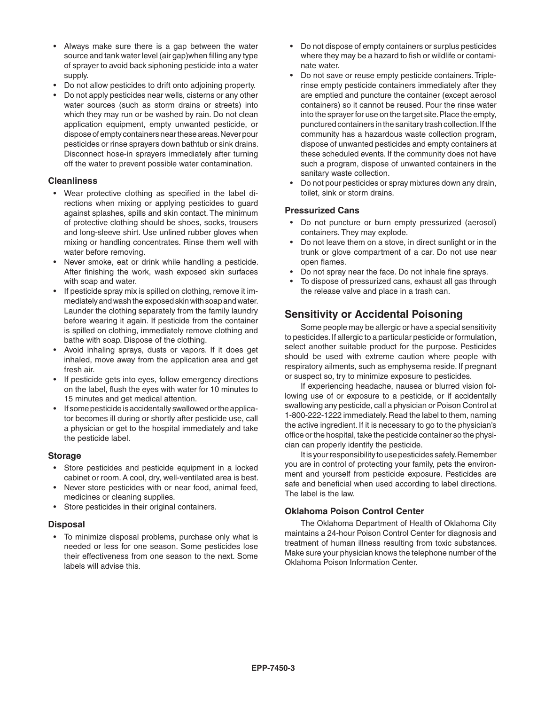- Always make sure there is a gap between the water source and tank water level (air gap)when filling any type of sprayer to avoid back siphoning pesticide into a water supply.
- Do not allow pesticides to drift onto adjoining property.
- Do not apply pesticides near wells, cisterns or any other water sources (such as storm drains or streets) into which they may run or be washed by rain. Do not clean application equipment, empty unwanted pesticide, or dispose of empty containers near these areas. Never pour pesticides or rinse sprayers down bathtub or sink drains. Disconnect hose-in sprayers immediately after turning off the water to prevent possible water contamination.

#### **Cleanliness**

- Wear protective clothing as specified in the label directions when mixing or applying pesticides to guard against splashes, spills and skin contact. The minimum of protective clothing should be shoes, socks, trousers and long-sleeve shirt. Use unlined rubber gloves when mixing or handling concentrates. Rinse them well with water before removing.
- Never smoke, eat or drink while handling a pesticide. After finishing the work, wash exposed skin surfaces with soap and water.
- If pesticide spray mix is spilled on clothing, remove it immediately and wash the exposed skin with soap and water. Launder the clothing separately from the family laundry before wearing it again. If pesticide from the container is spilled on clothing, immediately remove clothing and bathe with soap. Dispose of the clothing.
- Avoid inhaling sprays, dusts or vapors. If it does get inhaled, move away from the application area and get fresh air.
- If pesticide gets into eyes, follow emergency directions on the label, flush the eyes with water for 10 minutes to 15 minutes and get medical attention.
- If some pesticide is accidentally swallowed or the applicator becomes ill during or shortly after pesticide use, call a physician or get to the hospital immediately and take the pesticide label.

#### **Storage**

- Store pesticides and pesticide equipment in a locked cabinet or room. A cool, dry, well-ventilated area is best.
- Never store pesticides with or near food, animal feed, medicines or cleaning supplies.
- Store pesticides in their original containers.

#### **Disposal**

• To minimize disposal problems, purchase only what is needed or less for one season. Some pesticides lose their effectiveness from one season to the next. Some labels will advise this.

- Do not dispose of empty containers or surplus pesticides where they may be a hazard to fish or wildlife or contaminate water.
- Do not save or reuse empty pesticide containers. Triplerinse empty pesticide containers immediately after they are emptied and puncture the container (except aerosol containers) so it cannot be reused. Pour the rinse water into the sprayer for use on the target site. Place the empty, punctured containers in the sanitary trash collection. If the community has a hazardous waste collection program, dispose of unwanted pesticides and empty containers at these scheduled events. If the community does not have such a program, dispose of unwanted containers in the sanitary waste collection.
- Do not pour pesticides or spray mixtures down any drain, toilet, sink or storm drains.

#### **Pressurized Cans**

- Do not puncture or burn empty pressurized (aerosol) containers. They may explode.
- Do not leave them on a stove, in direct sunlight or in the trunk or glove compartment of a car. Do not use near open flames.
- Do not spray near the face. Do not inhale fine sprays.
- To dispose of pressurized cans, exhaust all gas through the release valve and place in a trash can.

# **Sensitivity or Accidental Poisoning**

Some people may be allergic or have a special sensitivity to pesticides. If allergic to a particular pesticide or formulation, select another suitable product for the purpose. Pesticides should be used with extreme caution where people with respiratory ailments, such as emphysema reside. If pregnant or suspect so, try to minimize exposure to pesticides.

If experiencing headache, nausea or blurred vision following use of or exposure to a pesticide, or if accidentally swallowing any pesticide, call a physician or Poison Control at 1-800-222-1222 immediately. Read the label to them, naming the active ingredient. If it is necessary to go to the physician's office or the hospital, take the pesticide container so the physician can properly identify the pesticide.

It is your responsibility to use pesticides safely. Remember you are in control of protecting your family, pets the environment and yourself from pesticide exposure. Pesticides are safe and beneficial when used according to label directions. The label is the law.

#### **Oklahoma Poison Control Center**

The Oklahoma Department of Health of Oklahoma City maintains a 24-hour Poison Control Center for diagnosis and treatment of human illness resulting from toxic substances. Make sure your physician knows the telephone number of the Oklahoma Poison Information Center.